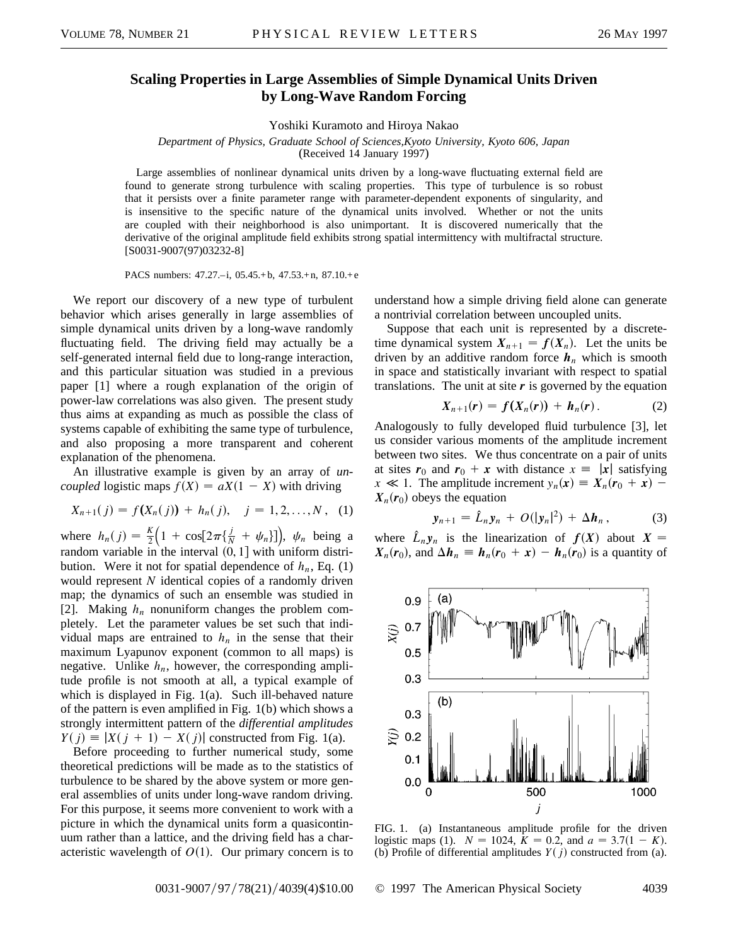## **Scaling Properties in Large Assemblies of Simple Dynamical Units Driven by Long-Wave Random Forcing**

Yoshiki Kuramoto and Hiroya Nakao

*Department of Physics, Graduate School of Sciences,Kyoto University, Kyoto 606, Japan*

(Received 14 January 1997)

Large assemblies of nonlinear dynamical units driven by a long-wave fluctuating external field are found to generate strong turbulence with scaling properties. This type of turbulence is so robust that it persists over a finite parameter range with parameter-dependent exponents of singularity, and is insensitive to the specific nature of the dynamical units involved. Whether or not the units are coupled with their neighborhood is also unimportant. It is discovered numerically that the derivative of the original amplitude field exhibits strong spatial intermittency with multifractal structure. [S0031-9007(97)03232-8]

PACS numbers: 47.27.–i, 05.45.+ b, 47.53.+ n, 87.10.+e

We report our discovery of a new type of turbulent behavior which arises generally in large assemblies of simple dynamical units driven by a long-wave randomly fluctuating field. The driving field may actually be a self-generated internal field due to long-range interaction, and this particular situation was studied in a previous paper [1] where a rough explanation of the origin of power-law correlations was also given. The present study thus aims at expanding as much as possible the class of systems capable of exhibiting the same type of turbulence, and also proposing a more transparent and coherent explanation of the phenomena.

An illustrative example is given by an array of *uncoupled* logistic maps  $f(X) = aX(1 - X)$  with driving

$$
X_{n+1}(j) = f(X_n(j)) + h_n(j), \quad j = 1, 2, ..., N, \quad (1)
$$

where  $h_n(j) = \frac{K}{2}$  $\left(1 + \cos\left[2\pi\{\frac{j}{N} + \psi_n\}\right]\right), \psi_n$  being a random variable in the interval  $(0, 1]$  with uniform distribution. Were it not for spatial dependence of  $h_n$ , Eq. (1) would represent *N* identical copies of a randomly driven map; the dynamics of such an ensemble was studied in [2]. Making  $h_n$  nonuniform changes the problem completely. Let the parameter values be set such that individual maps are entrained to  $h_n$  in the sense that their maximum Lyapunov exponent (common to all maps) is negative. Unlike  $h_n$ , however, the corresponding amplitude profile is not smooth at all, a typical example of which is displayed in Fig. 1(a). Such ill-behaved nature of the pattern is even amplified in Fig. 1(b) which shows a strongly intermittent pattern of the *differential amplitudes*  $Y(j) \equiv |X(j + 1) - X(j)|$  constructed from Fig. 1(a).

Before proceeding to further numerical study, some theoretical predictions will be made as to the statistics of turbulence to be shared by the above system or more general assemblies of units under long-wave random driving. For this purpose, it seems more convenient to work with a picture in which the dynamical units form a quasicontinuum rather than a lattice, and the driving field has a characteristic wavelength of  $O(1)$ . Our primary concern is to understand how a simple driving field alone can generate a nontrivial correlation between uncoupled units.

Suppose that each unit is represented by a discretetime dynamical system  $X_{n+1} = f(X_n)$ . Let the units be driven by an additive random force  $h_n$  which is smooth in space and statistically invariant with respect to spatial translations. The unit at site  $r$  is governed by the equation

$$
X_{n+1}(r) = f(X_n(r)) + h_n(r). \qquad (2)
$$

Analogously to fully developed fluid turbulence [3], let us consider various moments of the amplitude increment between two sites. We thus concentrate on a pair of units at sites  $r_0$  and  $r_0 + x$  with distance  $x = |x|$  satisfying  $x \ll 1$ . The amplitude increment  $y_n(x) \equiv X_n(r_0 + x)$  –  $X_n(r_0)$  obeys the equation

$$
\mathbf{y}_{n+1} = \hat{L}_n \mathbf{y}_n + O(|\mathbf{y}_n|^2) + \Delta \mathbf{h}_n, \tag{3}
$$

where  $\hat{L}_n y_n$  is the linearization of  $f(X)$  about  $X =$  $X_n(r_0)$ , and  $\Delta h_n \equiv h_n(r_0 + x) - h_n(r_0)$  is a quantity of



FIG. 1. (a) Instantaneous amplitude profile for the driven logistic maps (1).  $N = 1024$ ,  $K = 0.2$ , and  $a = 3.7(1 - K)$ . (b) Profile of differential amplitudes  $Y(j)$  constructed from (a).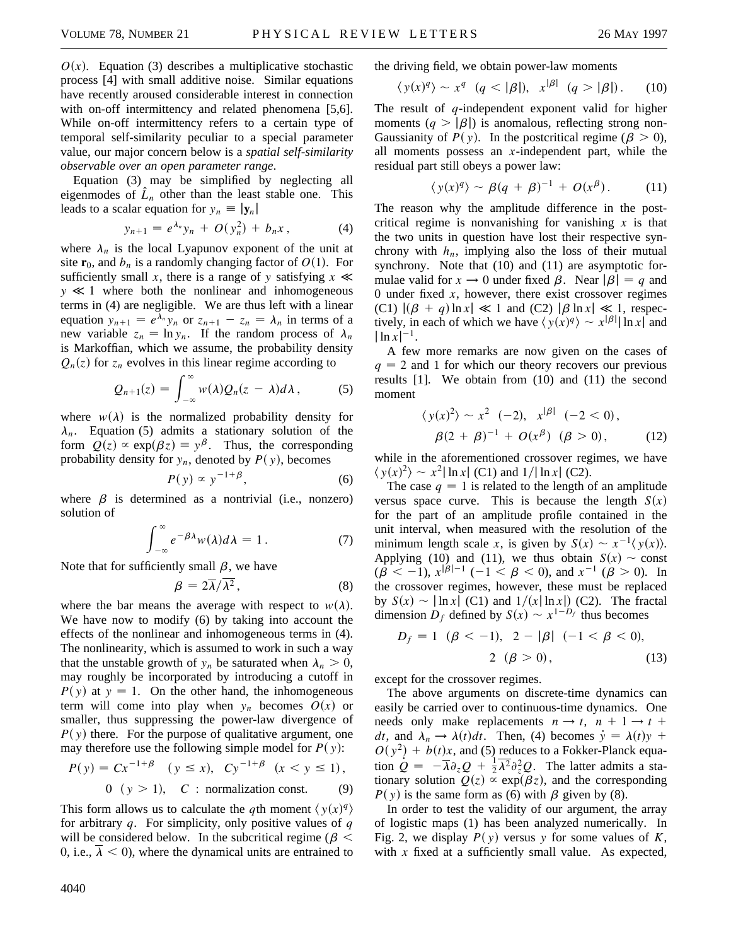$O(x)$ . Equation (3) describes a multiplicative stochastic process [4] with small additive noise. Similar equations have recently aroused considerable interest in connection with on-off intermittency and related phenomena [5,6]. While on-off intermittency refers to a certain type of temporal self-similarity peculiar to a special parameter value, our major concern below is a *spatial self-similarity observable over an open parameter range*.

Equation (3) may be simplified by neglecting all eigenmodes of  $\hat{L}_n$  other than the least stable one. This leads to a scalar equation for  $y_n \equiv |\mathbf{y}_n|$ 

$$
y_{n+1} = e^{\lambda_n} y_n + O(y_n^2) + b_n x, \qquad (4)
$$

where  $\lambda_n$  is the local Lyapunov exponent of the unit at site  $\mathbf{r}_0$ , and  $b_n$  is a randomly changing factor of  $O(1)$ . For sufficiently small *x*, there is a range of *y* satisfying  $x \ll$  $y \ll 1$  where both the nonlinear and inhomogeneous terms in (4) are negligible. We are thus left with a linear equation  $y_{n+1} = e^{\lambda_n} y_n$  or  $z_{n+1} - z_n = \lambda_n$  in terms of a new variable  $z_n = \ln y_n$ . If the random process of  $\lambda_n$ is Markoffian, which we assume, the probability density  $Q_n(z)$  for  $z_n$  evolves in this linear regime according to

$$
Q_{n+1}(z) = \int_{-\infty}^{\infty} w(\lambda) Q_n(z-\lambda) d\lambda, \qquad (5)
$$

where  $w(\lambda)$  is the normalized probability density for  $\lambda_n$ . Equation (5) admits a stationary solution of the form  $Q(z) \propto \exp(\beta z) \equiv y^{\beta}$ . Thus, the corresponding probability density for  $y_n$ , denoted by  $P(y)$ , becomes

$$
P(y) \propto y^{-1+\beta}, \tag{6}
$$

where  $\beta$  is determined as a nontrivial (i.e., nonzero) solution of

$$
\int_{-\infty}^{\infty} e^{-\beta \lambda} w(\lambda) d\lambda = 1.
$$
 (7)

Note that for sufficiently small  $\beta$ , we have

$$
\beta = 2\overline{\lambda}/\overline{\lambda^2},\qquad(8)
$$

where the bar means the average with respect to  $w(\lambda)$ . We have now to modify (6) by taking into account the effects of the nonlinear and inhomogeneous terms in (4). The nonlinearity, which is assumed to work in such a way that the unstable growth of  $y_n$  be saturated when  $\lambda_n > 0$ , may roughly be incorporated by introducing a cutoff in  $P(y)$  at  $y = 1$ . On the other hand, the inhomogeneous term will come into play when  $y_n$  becomes  $O(x)$  or smaller, thus suppressing the power-law divergence of  $P(y)$  there. For the purpose of qualitative argument, one may therefore use the following simple model for  $P(y)$ :

$$
P(y) = C x^{-1+\beta} \quad (y \le x), \quad C y^{-1+\beta} \quad (x < y \le 1),
$$

$$
0 \quad (y > 1), \quad C: \text{ normalization const.} \tag{9}
$$

This form allows us to calculate the *q*th moment  $\langle y(x)^q \rangle$ for arbitrary *q*. For simplicity, only positive values of *q* will be considered below. In the subcritical regime ( $\beta$  < 0, i.e.,  $\overline{\lambda}$  < 0), where the dynamical units are entrained to the driving field, we obtain power-law moments

$$
\langle y(x)^q \rangle \sim x^q \quad (q < |\beta|), \quad x^{|\beta|} \quad (q > |\beta|). \tag{10}
$$

The result of *q*-independent exponent valid for higher moments  $(q > |\beta|)$  is anomalous, reflecting strong non-Gaussianity of  $P(y)$ . In the postcritical regime ( $\beta > 0$ ), all moments possess an *x*-independent part, while the residual part still obeys a power law:

$$
\langle y(x)^q \rangle \sim \beta (q + \beta)^{-1} + O(x^{\beta}). \tag{11}
$$

The reason why the amplitude difference in the postcritical regime is nonvanishing for vanishing  $x$  is that the two units in question have lost their respective synchrony with  $h_n$ , implying also the loss of their mutual synchrony. Note that (10) and (11) are asymptotic formulae valid for  $x \to 0$  under fixed  $\beta$ . Near  $|\beta| = q$  and 0 under fixed  $x$ , however, there exist crossover regimes (C1)  $|(\beta + q) \ln x| \ll 1$  and (C2)  $|\beta \ln x| \ll 1$ , respectively, in each of which we have  $\langle y(x)^q \rangle \sim x^{|\beta|} \ln x$  and  $\ln x$ <sup>-1</sup>.

A few more remarks are now given on the cases of  $q = 2$  and 1 for which our theory recovers our previous results [1]. We obtain from (10) and (11) the second moment

$$
\langle y(x)^2 \rangle \sim x^2 \quad (-2), \quad x^{|\beta|} \quad (-2 < 0),
$$
\n
$$
\beta(2+\beta)^{-1} + O(x^{\beta}) \quad (\beta > 0), \tag{12}
$$

while in the aforementioned crossover regimes, we have  $\langle y(x)^2 \rangle \sim x^2 |\ln x|$  (C1) and  $1/|\ln x|$  (C2).

The case  $q = 1$  is related to the length of an amplitude versus space curve. This is because the length  $S(x)$ for the part of an amplitude profile contained in the unit interval, when measured with the resolution of the minimum length scale *x*, is given by  $S(x) \sim x^{-1}(y(x))$ . Applying (10) and (11), we thus obtain  $S(x) \sim$  const  $(\beta \lt -1),$   $x^{|\beta|-1}$  ( $-1 \lt \beta \lt 0$ ), and  $x^{-1}$  ( $\beta > 0$ ). In the crossover regimes, however, these must be replaced by  $S(x) \sim |\ln x|$  (C1) and  $1/(x |\ln x|)$  (C2). The fractal dimension  $D_f$  defined by  $S(x) \sim x^{1-D_f}$  thus becomes

$$
D_f = 1 \quad (\beta < -1), \quad 2 - |\beta| \quad (-1 < \beta < 0), \\
2 \quad (\beta > 0), \quad (13)
$$

except for the crossover regimes.

The above arguments on discrete-time dynamics can easily be carried over to continuous-time dynamics. One needs only make replacements  $n \rightarrow t$ ,  $n + 1 \rightarrow t +$ *dt*, and  $\lambda_n \to \lambda(t)dt$ . Then, (4) becomes  $\dot{y} = \lambda(t)y$  +  $O(y^2) + b(t)x$ , and (5) reduces to a Fokker-Planck equation  $\dot{Q} = -\overline{\lambda} \partial_z Q + \frac{1}{2} \overline{\lambda^2} \partial_z^2 Q$ . The latter admits a stationary solution  $Q(z) \propto \exp(\beta z)$ , and the corresponding  $P(y)$  is the same form as (6) with  $\beta$  given by (8).

In order to test the validity of our argument, the array of logistic maps (1) has been analyzed numerically. In Fig. 2, we display  $P(y)$  versus y for some values of K, with *x* fixed at a sufficiently small value. As expected,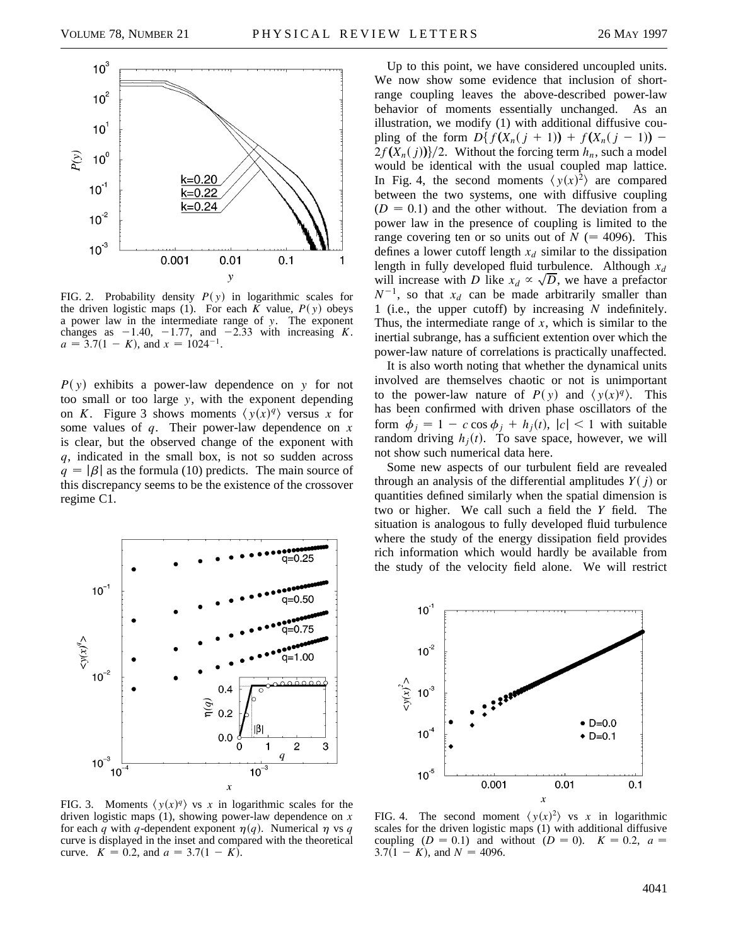

FIG. 2. Probability density  $P(y)$  in logarithmic scales for the driven logistic maps (1). For each  $\overline{K}$  value,  $P(y)$  obeys a power law in the intermediate range of *y*. The exponent changes as  $-1.40$ ,  $-1.77$ , and  $-2.33$  with increasing *K*.  $a = 3.7(1 - K)$ , and  $x = 1024^{-1}$ .

 $P(y)$  exhibits a power-law dependence on *y* for not too small or too large *y*, with the exponent depending on *K*. Figure 3 shows moments  $\langle y(x)q \rangle$  versus *x* for some values of *q*. Their power-law dependence on *x* is clear, but the observed change of the exponent with *q*, indicated in the small box, is not so sudden across  $q = |\beta|$  as the formula (10) predicts. The main source of this discrepancy seems to be the existence of the crossover regime C1.



FIG. 3. Moments  $\langle y(x)^q \rangle$  vs *x* in logarithmic scales for the driven logistic maps (1), showing power-law dependence on *x* for each *q* with *q*-dependent exponent  $\eta(q)$ . Numerical  $\eta$  vs *q* curve is displayed in the inset and compared with the theoretical curve.  $K = 0.2$ , and  $a = 3.7(1 - K)$ .

Up to this point, we have considered uncoupled units. We now show some evidence that inclusion of shortrange coupling leaves the above-described power-law behavior of moments essentially unchanged. As an illustration, we modify (1) with additional diffusive coupling of the form  $D\{f(X_n(j + 1)) + f(X_n(j - 1)) 2f(X_n(j))}/2$ . Without the forcing term  $h_n$ , such a model would be identical with the usual coupled map lattice. In Fig. 4, the second moments  $\langle y(x)^2 \rangle$  are compared between the two systems, one with diffusive coupling  $(D = 0.1)$  and the other without. The deviation from a power law in the presence of coupling is limited to the range covering ten or so units out of  $N$  (= 4096). This defines a lower cutoff length  $x_d$  similar to the dissipation length in fully developed fluid turbulence. Although  $x_d$ length in fully developed fluid turbulence. Although  $x_d$  will increase with *D* like  $x_d \propto \sqrt{D}$ , we have a prefactor  $N^{-1}$ , so that  $x_d$  can be made arbitrarily smaller than 1 (i.e., the upper cutoff) by increasing *N* indefinitely. Thus, the intermediate range of *x*, which is similar to the inertial subrange, has a sufficient extention over which the power-law nature of correlations is practically unaffected.

It is also worth noting that whether the dynamical units involved are themselves chaotic or not is unimportant to the power-law nature of  $P(y)$  and  $\langle y(x)^q \rangle$ . This has been confirmed with driven phase oscillators of the form  $\dot{\phi}_j = 1 - c \cos \phi_j + h_j(t)$ ,  $|c| < 1$  with suitable random driving  $h_i(t)$ . To save space, however, we will not show such numerical data here.

Some new aspects of our turbulent field are revealed through an analysis of the differential amplitudes  $Y(i)$  or quantities defined similarly when the spatial dimension is two or higher. We call such a field the *Y* field. The situation is analogous to fully developed fluid turbulence where the study of the energy dissipation field provides rich information which would hardly be available from the study of the velocity field alone. We will restrict



FIG. 4. The second moment  $\langle y(x)^2 \rangle$  vs *x* in logarithmic scales for the driven logistic maps (1) with additional diffusive coupling (*D* = 0.1) and without (*D* = 0).  $K = 0.2$ ,  $a =$  $3.7(1 - K)$ , and  $N = 4096$ .